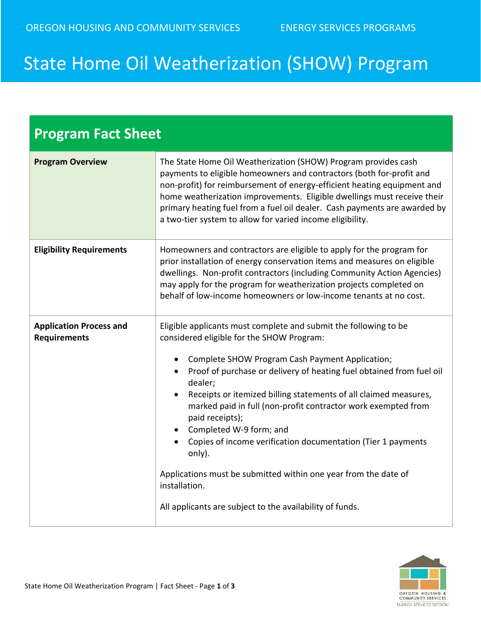## State Home Oil Weatherization (SHOW) Program

| <b>Program Fact Sheet</b>                             |                                                                                                                                                                                                                                                                                                                                                                                                                                                                                                                                                                                                                                                                    |  |
|-------------------------------------------------------|--------------------------------------------------------------------------------------------------------------------------------------------------------------------------------------------------------------------------------------------------------------------------------------------------------------------------------------------------------------------------------------------------------------------------------------------------------------------------------------------------------------------------------------------------------------------------------------------------------------------------------------------------------------------|--|
| <b>Program Overview</b>                               | The State Home Oil Weatherization (SHOW) Program provides cash<br>payments to eligible homeowners and contractors (both for-profit and<br>non-profit) for reimbursement of energy-efficient heating equipment and<br>home weatherization improvements. Eligible dwellings must receive their<br>primary heating fuel from a fuel oil dealer. Cash payments are awarded by<br>a two-tier system to allow for varied income eligibility.                                                                                                                                                                                                                             |  |
| <b>Eligibility Requirements</b>                       | Homeowners and contractors are eligible to apply for the program for<br>prior installation of energy conservation items and measures on eligible<br>dwellings. Non-profit contractors (including Community Action Agencies)<br>may apply for the program for weatherization projects completed on<br>behalf of low-income homeowners or low-income tenants at no cost.                                                                                                                                                                                                                                                                                             |  |
| <b>Application Process and</b><br><b>Requirements</b> | Eligible applicants must complete and submit the following to be<br>considered eligible for the SHOW Program:<br>Complete SHOW Program Cash Payment Application;<br>Proof of purchase or delivery of heating fuel obtained from fuel oil<br>dealer;<br>Receipts or itemized billing statements of all claimed measures,<br>marked paid in full (non-profit contractor work exempted from<br>paid receipts);<br>• Completed W-9 form; and<br>Copies of income verification documentation (Tier 1 payments<br>only).<br>Applications must be submitted within one year from the date of<br>installation.<br>All applicants are subject to the availability of funds. |  |

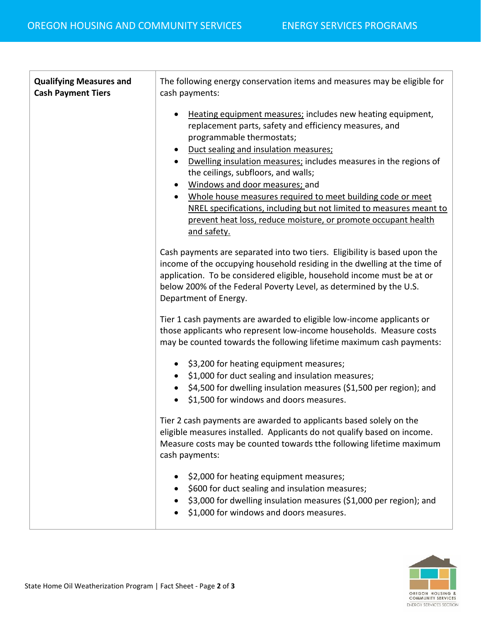| <b>Qualifying Measures and</b><br><b>Cash Payment Tiers</b> | The following energy conservation items and measures may be eligible for<br>cash payments:                                                                                                                                                                                                                                                                                                                                                                                                                                                                                                 |
|-------------------------------------------------------------|--------------------------------------------------------------------------------------------------------------------------------------------------------------------------------------------------------------------------------------------------------------------------------------------------------------------------------------------------------------------------------------------------------------------------------------------------------------------------------------------------------------------------------------------------------------------------------------------|
|                                                             | Heating equipment measures; includes new heating equipment,<br>replacement parts, safety and efficiency measures, and<br>programmable thermostats;<br>Duct sealing and insulation measures;<br>Dwelling insulation measures; includes measures in the regions of<br>the ceilings, subfloors, and walls;<br>Windows and door measures; and<br>$\bullet$<br>Whole house measures required to meet building code or meet<br>$\bullet$<br>NREL specifications, including but not limited to measures meant to<br>prevent heat loss, reduce moisture, or promote occupant health<br>and safety. |
|                                                             | Cash payments are separated into two tiers. Eligibility is based upon the<br>income of the occupying household residing in the dwelling at the time of<br>application. To be considered eligible, household income must be at or<br>below 200% of the Federal Poverty Level, as determined by the U.S.<br>Department of Energy.                                                                                                                                                                                                                                                            |
|                                                             | Tier 1 cash payments are awarded to eligible low-income applicants or<br>those applicants who represent low-income households. Measure costs<br>may be counted towards the following lifetime maximum cash payments:                                                                                                                                                                                                                                                                                                                                                                       |
|                                                             | \$3,200 for heating equipment measures;<br>$\bullet$<br>\$1,000 for duct sealing and insulation measures;<br>\$4,500 for dwelling insulation measures (\$1,500 per region); and<br>\$1,500 for windows and doors measures.                                                                                                                                                                                                                                                                                                                                                                 |
|                                                             | Tier 2 cash payments are awarded to applicants based solely on the<br>eligible measures installed. Applicants do not qualify based on income.<br>Measure costs may be counted towards tthe following lifetime maximum<br>cash payments:                                                                                                                                                                                                                                                                                                                                                    |
|                                                             | \$2,000 for heating equipment measures;<br>\$600 for duct sealing and insulation measures;<br>\$3,000 for dwelling insulation measures (\$1,000 per region); and<br>\$1,000 for windows and doors measures.                                                                                                                                                                                                                                                                                                                                                                                |